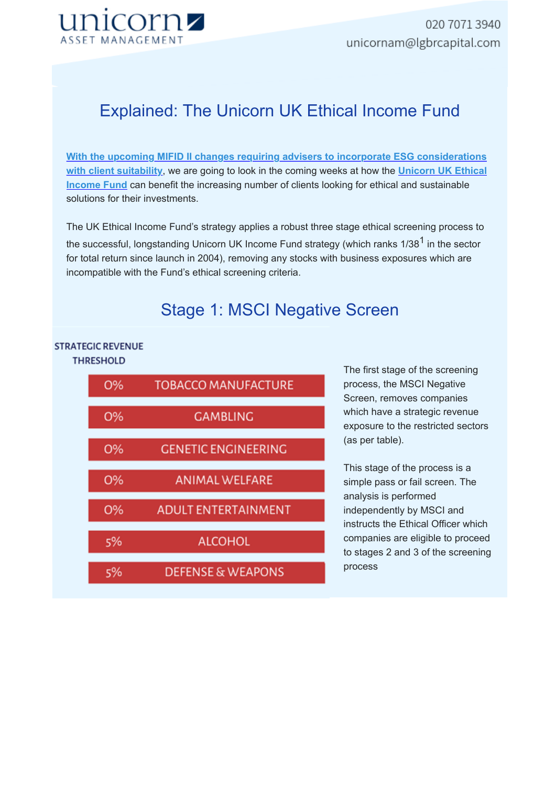

# Explained: The Unicorn UK Ethical Income Fund

**With the upcoming MIFID II changes requiring advisers to incorporate ESG considerations with client suitability**, we are going to look in the coming weeks at how the **Unicorn UK Ethical Income Fund** can benefit the increasing number of clients looking for ethical and sustainable solutions for their investments.

The UK Ethical Income Fund's strategy applies a robust three stage ethical screening process to the successful, longstanding Unicorn UK Income Fund strategy (which ranks  $1/38<sup>1</sup>$  in the sector for total return since launch in 2004), removing any stocks with business exposures which are incompatible with the Fund's ethical screening criteria.

## Stage 1: MSCI Negative Screen

### **STRATEGIC REVENUE THRESHOLD**



The first stage of the screening process, the MSCI Negative Screen, removes companies which have a strategic revenue exposure to the restricted sectors (as per table).

This stage of the process is a simple pass or fail screen. The analysis is performed independently by MSCI and instructs the Ethical Officer which companies are eligible to proceed to stages 2 and 3 of the screening process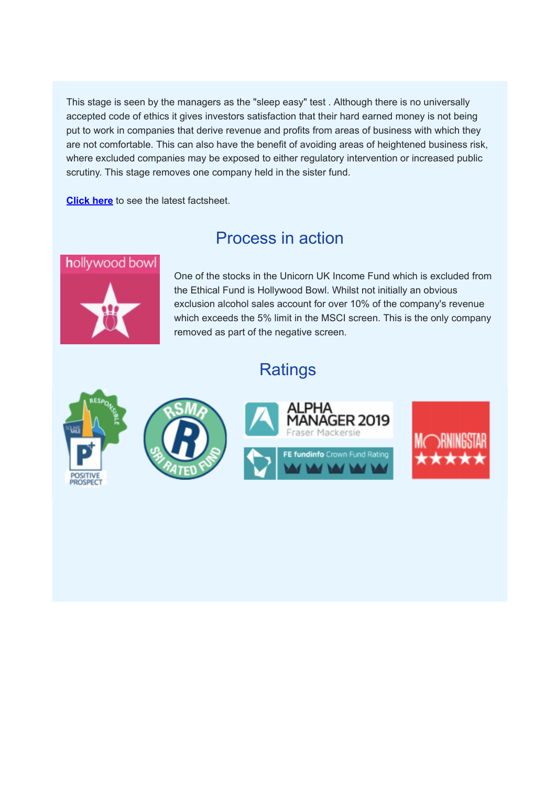This stage is seen by the managers as the "sleep easy" test . Although there is no universally accepted code of ethics it gives investors satisfaction that their hard earned money is not being put to work in companies that derive revenue and profits from areas of business with which they are not comfortable. This can also have the benefit of avoiding areas of heightened business risk, where excluded companies may be exposed to either regulatory intervention or increased public scrutiny. This stage removes one company held in the sister fund.

**Click here** to see the latest factsheet.

### Process in action



One of the stocks in the Unicorn UK Income Fund which is excluded from the Ethical Fund is Hollywood Bowl. Whilst not initially an obvious exclusion alcohol sales account for over 10% of the company's revenue which exceeds the 5% limit in the MSCI screen. This is the only company removed as part of the negative screen.

# Ratings